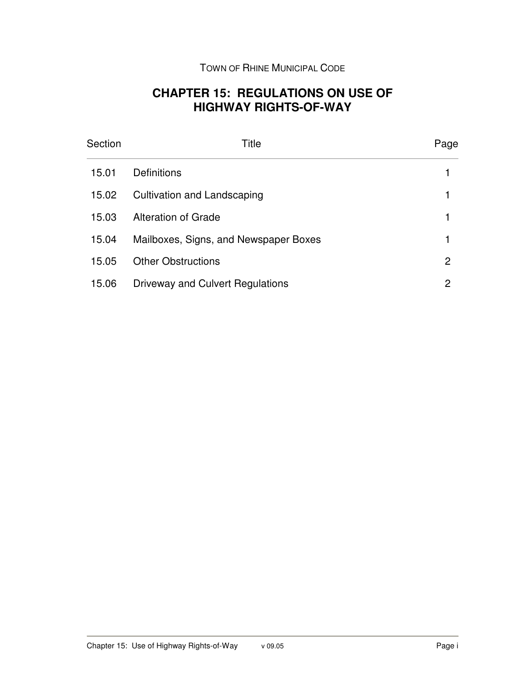# TOWN OF RHINE MUNICIPAL CODE

# **CHAPTER 15: REGULATIONS ON USE OF HIGHWAY RIGHTS-OF-WAY**

| Section | Title                                 | Page |
|---------|---------------------------------------|------|
| 15.01   | <b>Definitions</b>                    |      |
| 15.02   | Cultivation and Landscaping           |      |
| 15.03   | Alteration of Grade                   |      |
| 15.04   | Mailboxes, Signs, and Newspaper Boxes | 1    |
| 15.05   | <b>Other Obstructions</b>             | 2    |
| 15.06   | Driveway and Culvert Regulations      | 2    |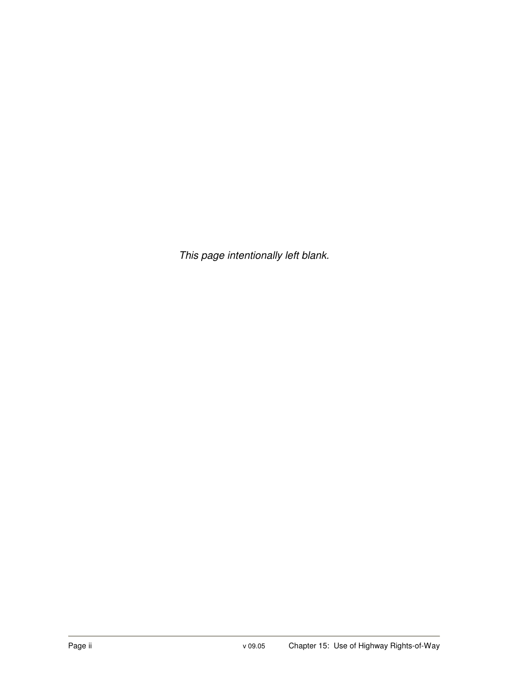This page intentionally left blank.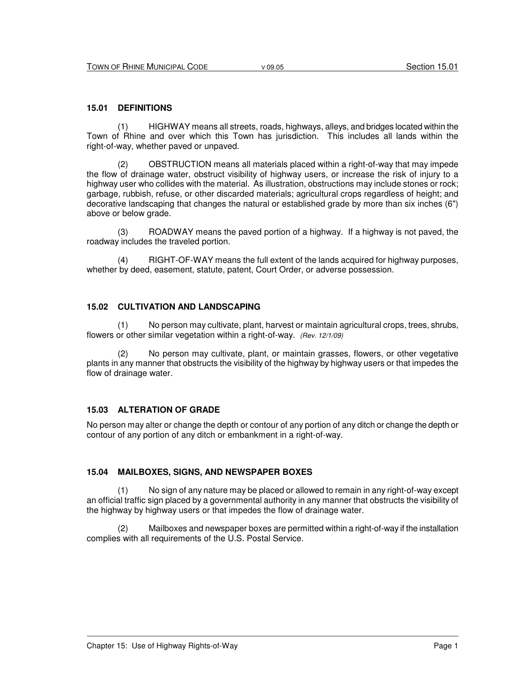#### **15.01 DEFINITIONS**

(1) HIGHWAY means all streets, roads, highways, alleys, and bridges located within the Town of Rhine and over which this Town has jurisdiction. This includes all lands within the right-of-way, whether paved or unpaved.

(2) OBSTRUCTION means all materials placed within a right-of-way that may impede the flow of drainage water, obstruct visibility of highway users, or increase the risk of injury to a highway user who collides with the material. As illustration, obstructions may include stones or rock; garbage, rubbish, refuse, or other discarded materials; agricultural crops regardless of height; and decorative landscaping that changes the natural or established grade by more than six inches (6") above or below grade.

(3) ROADWAY means the paved portion of a highway. If a highway is not paved, the roadway includes the traveled portion.

(4) RIGHT-OF-WAY means the full extent of the lands acquired for highway purposes, whether by deed, easement, statute, patent, Court Order, or adverse possession.

### **15.02 CULTIVATION AND LANDSCAPING**

(1) No person may cultivate, plant, harvest or maintain agricultural crops, trees, shrubs, flowers or other similar vegetation within a right-of-way. (Rev. 12/1/09)

(2) No person may cultivate, plant, or maintain grasses, flowers, or other vegetative plants in any manner that obstructs the visibility of the highway by highway users or that impedes the flow of drainage water.

# **15.03 ALTERATION OF GRADE**

No person may alter or change the depth or contour of any portion of any ditch or change the depth or contour of any portion of any ditch or embankment in a right-of-way.

#### **15.04 MAILBOXES, SIGNS, AND NEWSPAPER BOXES**

(1) No sign of any nature may be placed or allowed to remain in any right-of-way except an official traffic sign placed by a governmental authority in any manner that obstructs the visibility of the highway by highway users or that impedes the flow of drainage water.

(2) Mailboxes and newspaper boxes are permitted within a right-of-way if the installation complies with all requirements of the U.S. Postal Service.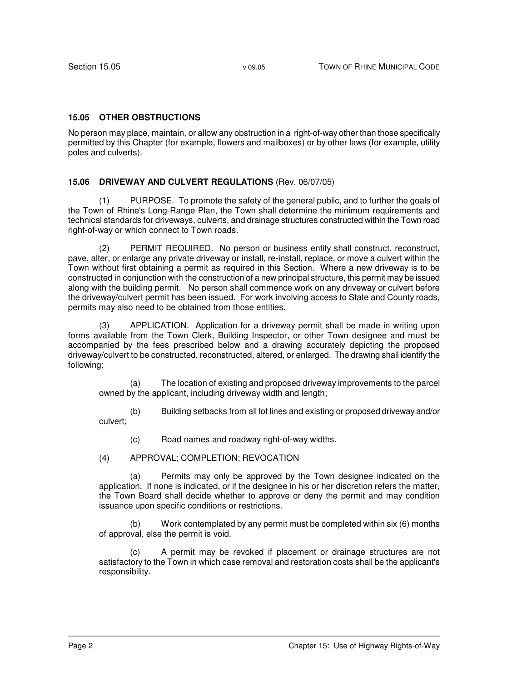### **15.05 OTHER OBSTRUCTIONS**

No person may place, maintain, or allow any obstruction in a right-of-way other than those specifically permitted by this Chapter (for example, flowers and mailboxes) or by other laws (for example, utility poles and culverts).

# **15.06 DRIVEWAY AND CULVERT REGULATIONS** (Rev. 06/07/05)

(1) PURPOSE. To promote the safety of the general public, and to further the goals of the Town of Rhine's Long-Range Plan, the Town shall determine the minimum requirements and technical standards for driveways, culverts, and drainage structures constructed within the Town road right-of-way or which connect to Town roads.

PERMIT REQUIRED. No person or business entity shall construct, reconstruct, pave, alter, or enlarge any private driveway or install, re-install, replace, or move a culvert within the Town without first obtaining a permit as required in this Section. Where a new driveway is to be constructed in conjunction with the construction of a new principal structure, this permit may be issued along with the building permit. No person shall commence work on any driveway or culvert before the driveway/culvert permit has been issued. For work involving access to State and County roads, permits may also need to be obtained from those entities.

(3) APPLICATION. Application for a driveway permit shall be made in writing upon forms available from the Town Clerk, Building Inspector, or other Town designee and must be accompanied by the fees prescribed below and a drawing accurately depicting the proposed driveway/culvert to be constructed, reconstructed, altered, or enlarged. The drawing shall identify the following:

(a) The location of existing and proposed driveway improvements to the parcel owned by the applicant, including driveway width and length;

(b) Building setbacks from all lot lines and existing or proposed driveway and/or culvert;

- (c) Road names and roadway right-of-way widths.
- (4) APPROVAL; COMPLETION; REVOCATION

(a) Permits may only be approved by the Town designee indicated on the application. If none is indicated, or if the designee in his or her discretion refers the matter, the Town Board shall decide whether to approve or deny the permit and may condition issuance upon specific conditions or restrictions.

(b) Work contemplated by any permit must be completed within six (6) months of approval, else the permit is void.

(c) A permit may be revoked if placement or drainage structures are not satisfactory to the Town in which case removal and restoration costs shall be the applicant's responsibility.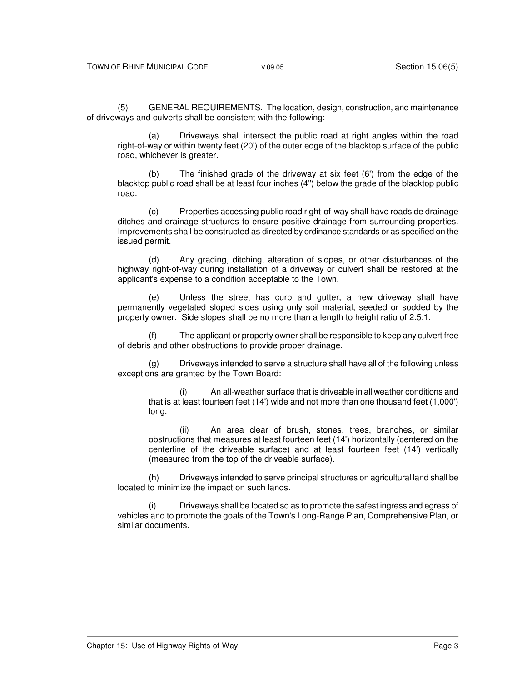(5) GENERAL REQUIREMENTS. The location, design, construction, and maintenance of driveways and culverts shall be consistent with the following:

(a) Driveways shall intersect the public road at right angles within the road right-of-way or within twenty feet (20') of the outer edge of the blacktop surface of the public road, whichever is greater.

(b) The finished grade of the driveway at six feet (6') from the edge of the blacktop public road shall be at least four inches (4") below the grade of the blacktop public road.

(c) Properties accessing public road right-of-way shall have roadside drainage ditches and drainage structures to ensure positive drainage from surrounding properties. Improvements shall be constructed as directed by ordinance standards or as specified on the issued permit.

(d) Any grading, ditching, alteration of slopes, or other disturbances of the highway right-of-way during installation of a driveway or culvert shall be restored at the applicant's expense to a condition acceptable to the Town.

(e) Unless the street has curb and gutter, a new driveway shall have permanently vegetated sloped sides using only soil material, seeded or sodded by the property owner. Side slopes shall be no more than a length to height ratio of 2.5:1.

(f) The applicant or property owner shall be responsible to keep any culvert free of debris and other obstructions to provide proper drainage.

(g) Driveways intended to serve a structure shall have all of the following unless exceptions are granted by the Town Board:

An all-weather surface that is driveable in all weather conditions and that is at least fourteen feet (14') wide and not more than one thousand feet (1,000') long.

(ii) An area clear of brush, stones, trees, branches, or similar obstructions that measures at least fourteen feet (14') horizontally (centered on the centerline of the driveable surface) and at least fourteen feet (14') vertically (measured from the top of the driveable surface).

(h) Driveways intended to serve principal structures on agricultural land shall be located to minimize the impact on such lands.

Driveways shall be located so as to promote the safest ingress and egress of vehicles and to promote the goals of the Town's Long-Range Plan, Comprehensive Plan, or similar documents.